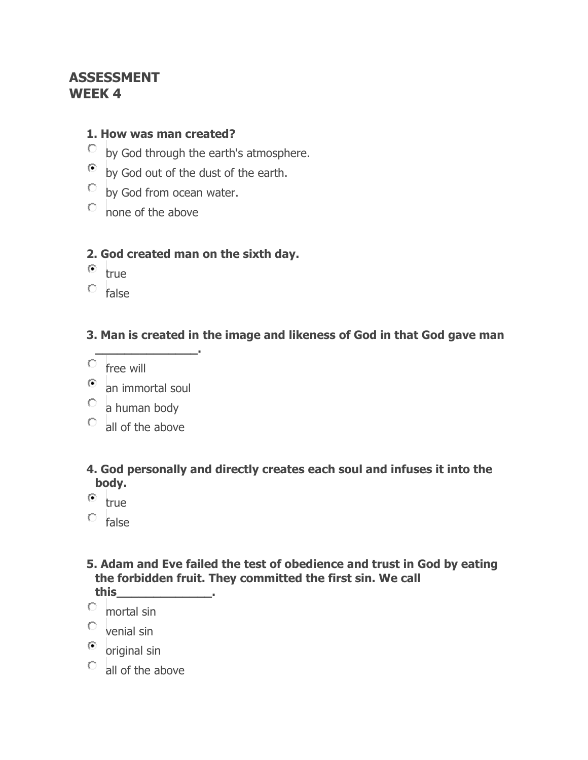# **ASSESSMENT WEEK 4**

#### **1. How was man created?**

- by God through the earth's atmosphere.
- by God out of the dust of the earth.
- $\overline{\circ}$  by God from ocean water.
- none of the above

# **2. God created man on the sixth day.**

- $\bullet$  true
- $\circ$  false

# **3. Man is created in the image and likeness of God in that God gave man**

- $C$  free will
- an immortal soul

**\_\_\_\_\_\_\_\_\_\_\_\_\_\_.**

- $\circ$  a human body
- all of the above

# **4. God personally and directly creates each soul and infuses it into the body.**

- $\bullet$  true
- $\circ$  false

#### **5. Adam and Eve failed the test of obedience and trust in God by eating the forbidden fruit. They committed the first sin. We call this\_\_\_\_\_\_\_\_\_\_\_\_\_.**

- Ω. mortal sin
- $\circ$  venial sin
- $\bullet$  original sin
- $\circ$  all of the above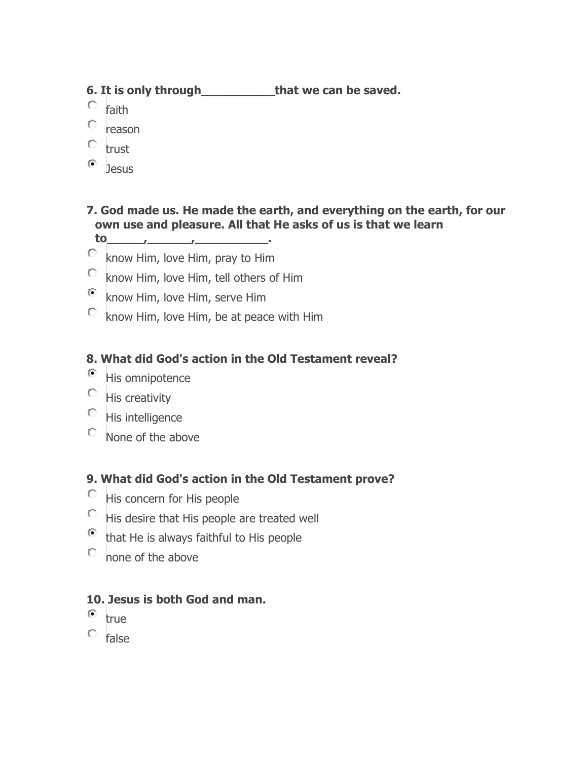# **6. It is only through\_\_\_\_\_\_\_\_\_\_that we can be saved.**

- О. faith
- O reason
- $\circ$  trust
- ⊙ **Jesus**

# **7. God made us. He made the earth, and everything on the earth, for our own use and pleasure. All that He asks of us is that we learn**

- **to\_\_\_\_\_,\_\_\_\_\_\_,\_\_\_\_\_\_\_\_\_\_.**
- $\circ$ know Him, love Him, pray to Him
- $\bigcirc$ know Him, love Him, tell others of Him
- $\odot$ know Him, love Him, serve Him
- know Him, love Him, be at peace with Him

# **8. What did God's action in the Old Testament reveal?**

- $\bullet$  His omnipotence
- $\circ$  His creativity
- $\circ$  His intelligence
- $\circ$  None of the above

# **9. What did God's action in the Old Testament prove?**

- $\overline{\phantom{a}}$  His concern for His people
- $\degree$  His desire that His people are treated well
- $\bullet$  that He is always faithful to His people
- none of the above

#### **10. Jesus is both God and man.**

- $^{\circ}$  true
- $\circ$  false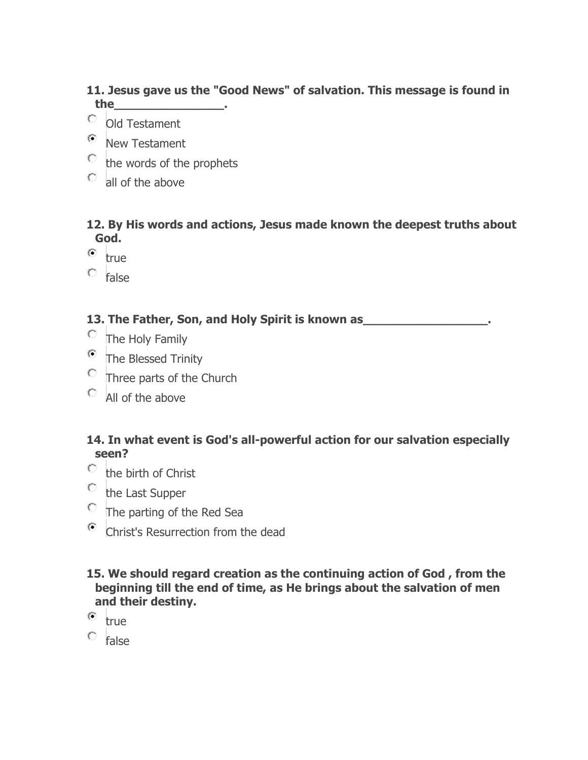# **11. Jesus gave us the "Good News" of salvation. This message is found in the\_\_\_\_\_\_\_\_\_\_\_\_\_\_\_.**

- Old Testament
- <sup>O</sup> New Testament
- $\circ$  the words of the prophets
- all of the above

#### **12. By His words and actions, Jesus made known the deepest truths about God.**

- $\left( \bullet \right)$ true
- $\circ$  false

# **13. The Father, Son, and Holy Spirit is known as\_\_\_\_\_\_\_\_\_\_\_\_\_\_\_\_\_.**

- The Holy Family
- <sup>®</sup> The Blessed Trinity
- $\circ$  Three parts of the Church
- $\circ$  All of the above

### **14. In what event is God's all-powerful action for our salvation especially seen?**

- $\circ$  the birth of Christ
- $\circ$  the Last Supper
- $\overline{\phantom{a}}$  The parting of the Red Sea
- Christ's Resurrection from the dead

# **15. We should regard creation as the continuing action of God , from the beginning till the end of time, as He brings about the salvation of men and their destiny.**

- $^{\circ}$  true
- $\circ$  false